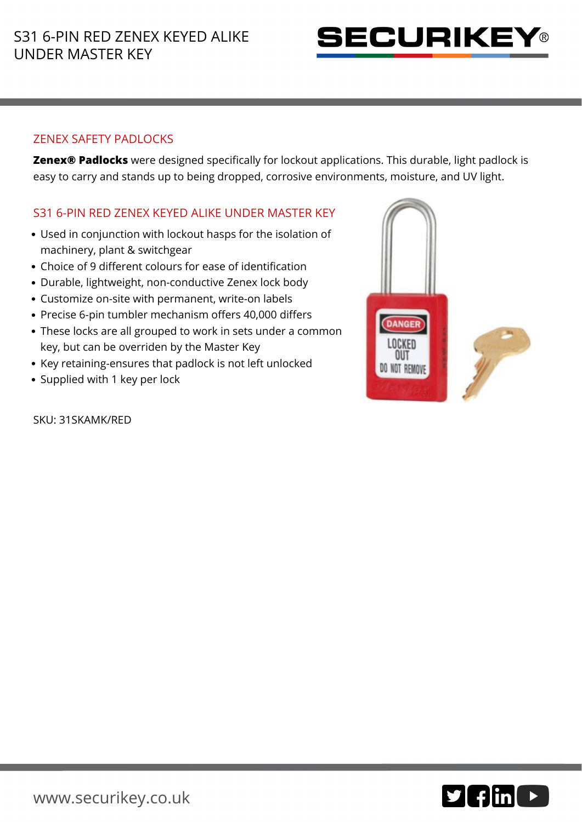

## ZENEX SAFETY PADLOCKS

**Zenex® Padlocks** were designed specifically for lockout applications. This durable, light padlock is easy to carry and stands up to being dropped, corrosive environments, moisture, and UV light.

## S31 6-PIN RED ZENEX KEYED ALIKE UNDER MASTER KEY

- Used in conjunction with lockout hasps for the isolation of machinery, plant & switchgear
- Choice of 9 different colours for ease of identification
- Durable, lightweight, non-conductive Zenex lock body
- Customize on-site with permanent, write-on labels
- Precise 6-pin tumbler mechanism offers 40,000 differs
- These locks are all grouped to work in sets under a common key, but can be overriden by the Master Key
- Key retaining-ensures that padlock is not left unlocked
- Supplied with 1 key per lock

SKU: 31SKAMK/RED



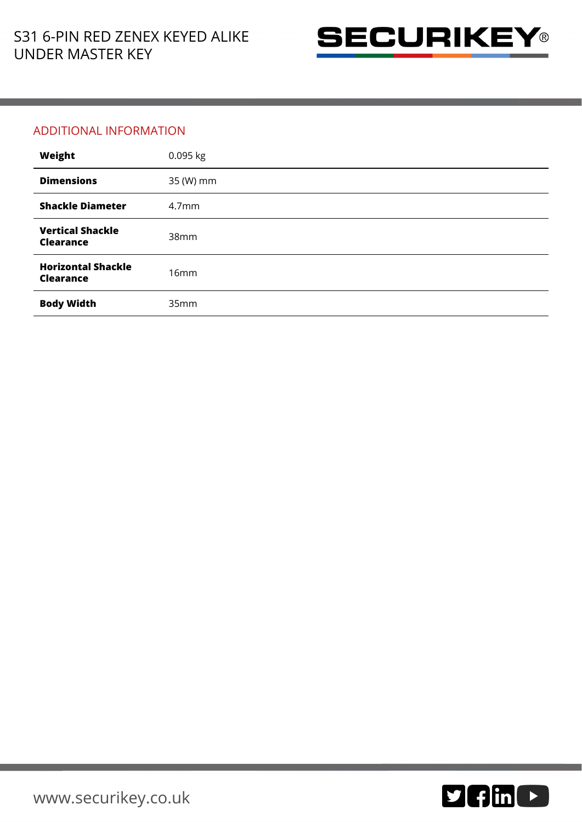

## ADDITIONAL INFORMATION

| Weight                                        | 0.095 kg          |
|-----------------------------------------------|-------------------|
| <b>Dimensions</b>                             | 35 (W) mm         |
| <b>Shackle Diameter</b>                       | 4.7 <sub>mm</sub> |
| <b>Vertical Shackle</b><br><b>Clearance</b>   | 38mm              |
| <b>Horizontal Shackle</b><br><b>Clearance</b> | 16mm              |
| <b>Body Width</b>                             | 35mm              |

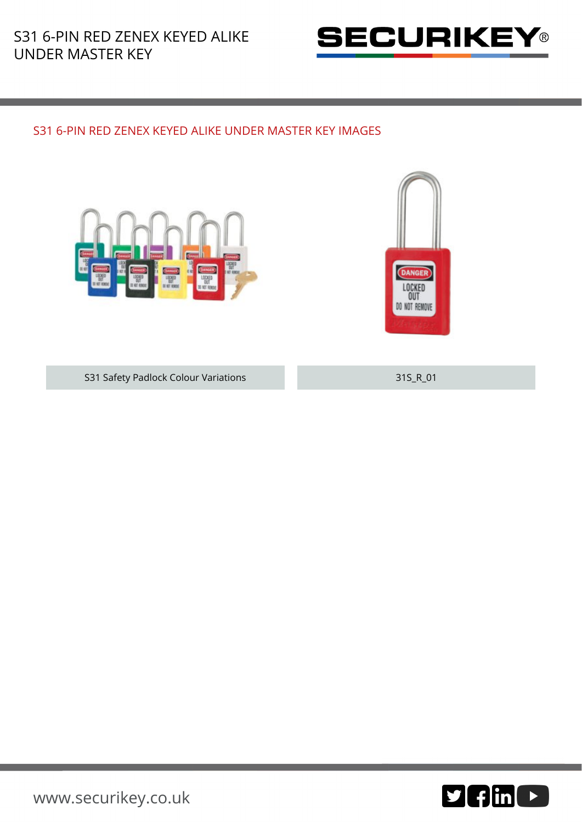

## S31 6-PIN RED ZENEX KEYED ALIKE UNDER MASTER KEY IMAGES





S31 Safety Padlock Colour Variations 31S\_R\_01